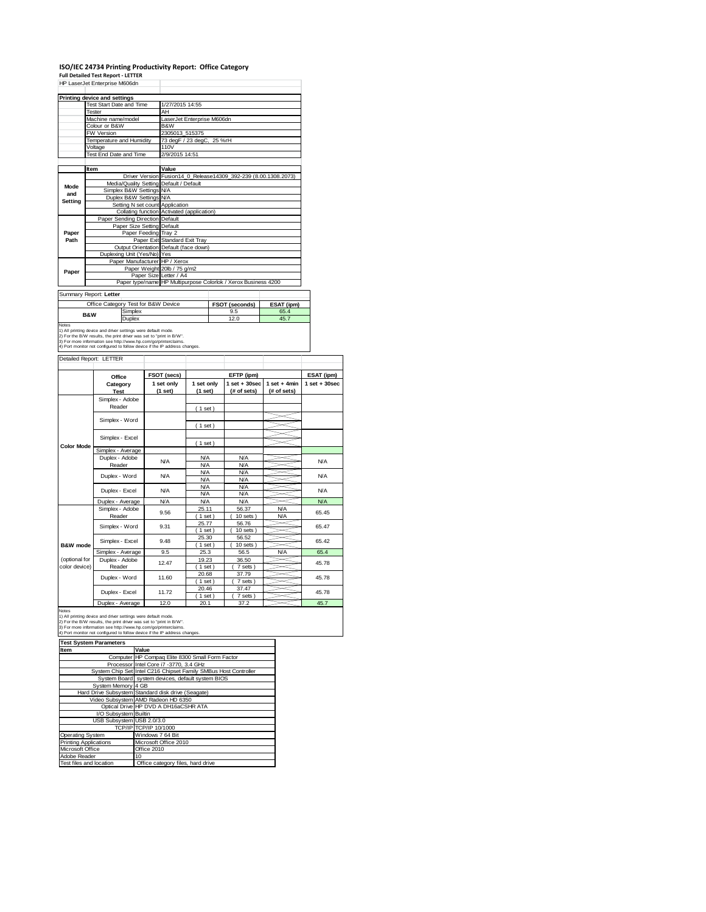### **ISO/IEC 24734 Printing Productivity Report: Office Category Full Detailed Test Report ‐ LETTER** HP LaserJet Enterprise M606dn

|               | Printing device and settings |                                     |                                                                |                                                                 |            |  |  |
|---------------|------------------------------|-------------------------------------|----------------------------------------------------------------|-----------------------------------------------------------------|------------|--|--|
|               | Test Start Date and Time     |                                     | 1/27/2015 14:55                                                |                                                                 |            |  |  |
|               | Tester                       |                                     | AH                                                             |                                                                 |            |  |  |
|               | Machine name/model           |                                     | LaserJet Enterprise M606dn                                     |                                                                 |            |  |  |
|               | Colour or B&W                |                                     | B&W                                                            |                                                                 |            |  |  |
|               | FW Version                   |                                     | 2305013 515375                                                 |                                                                 |            |  |  |
|               | Temperature and Humidity     |                                     | 73 degF / 23 degC, 25 %rH                                      |                                                                 |            |  |  |
|               | Voltage                      |                                     | 110V                                                           |                                                                 |            |  |  |
|               | Test End Date and Time       |                                     | 2/9/2015 14:51                                                 |                                                                 |            |  |  |
|               | Item                         |                                     | Value                                                          |                                                                 |            |  |  |
|               |                              |                                     |                                                                | Driver Version Fusion14_0_Release14309_392-239 (8.00.1308.2073) |            |  |  |
|               |                              |                                     | Media/Quality Setting Default / Default                        |                                                                 |            |  |  |
| Mode          |                              | Simplex B&W Settings N/A            |                                                                |                                                                 |            |  |  |
| and           |                              | Duplex B&W Settings N/A             |                                                                |                                                                 |            |  |  |
| Setting       |                              | Setting N set count Application     |                                                                |                                                                 |            |  |  |
|               |                              |                                     | Collating function Activated (application)                     |                                                                 |            |  |  |
|               |                              | Paper Sending Direction Default     |                                                                |                                                                 |            |  |  |
|               |                              | Paper Size Setting Default          |                                                                |                                                                 |            |  |  |
| Paper         | Paper Feeding Tray 2         |                                     |                                                                |                                                                 |            |  |  |
| Path          |                              |                                     | Paper Exit Standard Exit Tray                                  |                                                                 |            |  |  |
|               |                              |                                     | Output Orientation Default (face down)                         |                                                                 |            |  |  |
|               | Duplexing Unit (Yes/No) Yes  |                                     |                                                                |                                                                 |            |  |  |
|               |                              | Paper Manufacturer HP / Xerox       |                                                                |                                                                 |            |  |  |
|               |                              |                                     | Paper Weight 20lb / 75 g/m2                                    |                                                                 |            |  |  |
| Paper         |                              |                                     | Paper Size Letter / A4                                         |                                                                 |            |  |  |
|               |                              |                                     | Paper type/name HP Multipurpose Colorlok / Xerox Business 4200 |                                                                 |            |  |  |
|               | Summary Report: Letter       |                                     |                                                                |                                                                 |            |  |  |
|               |                              | Office Category Test for B&W Device |                                                                | FSOT (seconds)                                                  | ESAT (ipm) |  |  |
|               |                              | Simplex                             |                                                                | 9.5                                                             | 65.4       |  |  |
|               | <b>B&amp;W</b>               | Duplex                              |                                                                | 12.0                                                            | 45.7       |  |  |
| <b>Nloton</b> |                              |                                     |                                                                |                                                                 |            |  |  |

÷,

Notes<br>1) All printing device and driver settings were default mode.<br>2) For the B/W results, the print driver was set to "print in B/W".<br>3) For more information see http://www.hp.com/go/printerclaims.<br>4) Port monitor not co

Detailed Report: LETTER

|                                | Office                    | FSOT (secs)           |                          | EFTP (ipm)                       |                               | ESAT (ipm)        |
|--------------------------------|---------------------------|-----------------------|--------------------------|----------------------------------|-------------------------------|-------------------|
|                                | Category<br><b>Test</b>   | 1 set only<br>(1 set) | 1 set only<br>(1 set)    | $1$ set $+30$ sec<br>(# of sets) | $1$ set + 4min<br>(# of sets) | $1$ set $+30$ sec |
|                                | Simplex - Adobe<br>Reader |                       | (1 set)                  |                                  |                               |                   |
|                                | Simplex - Word            |                       | (1 set)                  |                                  |                               |                   |
| <b>Color Mode</b>              | Simplex - Excel           |                       | (1 set)                  |                                  |                               |                   |
|                                | Simplex - Average         |                       |                          |                                  |                               |                   |
|                                | Duplex - Adobe<br>Reader  | N/A                   | <b>N/A</b><br><b>N/A</b> | <b>N/A</b><br><b>N/A</b>         |                               | <b>N/A</b>        |
|                                | Duplex - Word             | N/A                   | <b>N/A</b><br><b>N/A</b> | <b>N/A</b><br><b>N/A</b>         |                               | <b>N/A</b>        |
|                                | Duplex - Excel            | N/A                   | <b>N/A</b><br><b>N/A</b> | <b>N/A</b><br><b>N/A</b>         |                               | <b>N/A</b>        |
|                                | Duplex - Average          | <b>N/A</b>            | <b>N/A</b>               | <b>N/A</b>                       |                               | <b>N/A</b>        |
|                                | Simplex - Adobe<br>Reader | 9.56                  | 25.11<br>$1$ set)        | 56.37<br>$10$ sets $)$           | <b>N/A</b><br><b>N/A</b>      | 65.45             |
|                                | Simplex - Word            | 9.31                  | 25.77<br>$1$ set)        | 56.76<br>$10$ sets $)$           |                               | 65.47             |
| B&W mode                       | Simplex - Excel           | 9.48                  | 25.30<br>$1$ set)        | 56.52<br>$10$ sets $)$           |                               | 65.42             |
|                                | Simplex - Average         | 9.5                   | 25.3                     | 56.5                             | <b>N/A</b>                    | 65.4              |
| (optional for<br>color device) | Duplex - Adobe<br>Reader  | 12.47                 | 19.23<br>$1$ set)        | 36.50<br>7 sets)                 |                               | 45.78             |
|                                | Duplex - Word             | 11.60                 | 20.68<br>$1$ set)        | 37.79<br>7 sets)                 |                               | 45.78             |
|                                | Duplex - Excel            | 11.72                 | 20.46<br>$1$ set)        | 37.47<br>7 sets                  |                               | 45.78             |
|                                | Duplex - Average          | 12.0                  | 20.1                     | 37.2                             |                               | 45.7              |

Notes<br>1) All printing device and driver settings were default mode.<br>2) For the B/W results, the print driver was set to "print in B/W".<br>3) For more information see http://www.hp.com/go/printerclaims.<br>4) Port monitor not co

| <b>Test System Parameters</b> |                                                                 |
|-------------------------------|-----------------------------------------------------------------|
| Item                          | Value                                                           |
|                               | Computer HP Compaq Elite 8300 Small Form Factor                 |
|                               | Processor Intel Core i7 -3770, 3.4 GHz                          |
|                               | System Chip Set Intel C216 Chipset Family SMBus Host Controller |
|                               | System Board system devices, default system BIOS                |
| System Memory 4 GB            |                                                                 |
|                               | Hard Drive Subsystem Standard disk drive (Seagate)              |
|                               | Video Subsystem AMD Radeon HD 6350                              |
|                               | Optical Drive HP DVD A DH16aCSHR ATA                            |
| I/O Subsystem Builtin         |                                                                 |
| USB Subsystem USB 2.0/3.0     |                                                                 |
|                               | TCP/IP TCP/IP 10/1000                                           |
| <b>Operating System</b>       | Windows 7 64 Bit                                                |
| <b>Printing Applications</b>  | Microsoft Office 2010                                           |
| Microsoft Office              | Office 2010                                                     |
| Adobe Reader                  | 10                                                              |
| Test files and location       | Office category files, hard drive                               |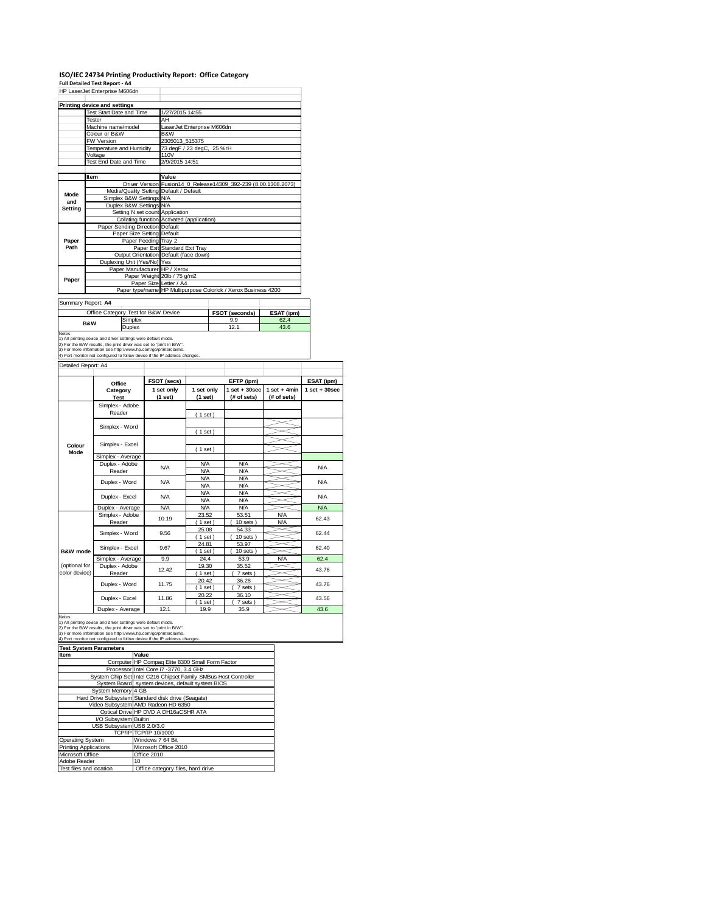### **ISO/IEC 24734 Printing Productivity Report: Office Category**

#### **Full Detailed Test Report ‐ A4**

|         | HP LaserJet Enterprise M606dn           |                                                                 |
|---------|-----------------------------------------|-----------------------------------------------------------------|
|         | Printing device and settings            |                                                                 |
|         | Test Start Date and Time                | 1/27/2015 14:55                                                 |
|         | Tester                                  | AH                                                              |
|         | Machine name/model                      | LaserJet Enterprise M606dn                                      |
|         | Colour or B&W                           | B&W                                                             |
|         | FW Version                              | 2305013 515375                                                  |
|         | Temperature and Humidity                | 73 degF / 23 degC, 25 %rH                                       |
|         | Voltage                                 | 110V                                                            |
|         | Test End Date and Time                  | 2/9/2015 14:51                                                  |
|         |                                         |                                                                 |
|         | Item                                    | Value                                                           |
|         |                                         | Driver Version Fusion14 0 Release14309 392-239 (8.00.1308.2073) |
| Mode    | Media/Quality Setting Default / Default |                                                                 |
| and     | Simplex B&W Settings N/A                |                                                                 |
| Setting | Duplex B&W Settings N/A                 |                                                                 |
|         | Setting N set count Application         |                                                                 |
|         |                                         | Collating function Activated (application)                      |
|         | Paper Sending Direction Default         |                                                                 |
|         | Paper Size Setting Default              |                                                                 |
| Paper   | Paper Feeding Trav 2                    |                                                                 |
| Path    |                                         | Paper Exit Standard Exit Tray                                   |
|         |                                         | Output Orientation Default (face down)                          |
|         | Duplexing Unit (Yes/No) Yes             |                                                                 |
|         | Paper Manufacturer HP / Xerox           |                                                                 |
| Paper   |                                         | Paper Weight 20lb / 75 g/m2                                     |
|         | Paper Size Letter / A4                  |                                                                 |
|         |                                         | Paper type/name HP Multipurpose Colorlok / Xerox Business 4200  |
|         | Summany Report: AA                      |                                                                 |

Summary Report: **A4**

|                                                               | Office Category Test for B&W Device | <b>FSOT (seconds)</b> | <b>ESAT (ipm)</b> |  |  |
|---------------------------------------------------------------|-------------------------------------|-----------------------|-------------------|--|--|
| <b>B&amp;W</b>                                                | Simplex                             | 9.9                   | 62.4              |  |  |
|                                                               | Duplex                              | 12.1                  | 43.6              |  |  |
| <b>Notes</b>                                                  |                                     |                       |                   |  |  |
| 1) All printing dovice and driver cottings were default mode. |                                     |                       |                   |  |  |

1) All printing device and driver settings were default mode.<br>2) For the B/W results, the print driver was set to "print in B/W".<br>3) For more information see http://www.hp.com/go/printerclaims.<br>4) Port monitor not configur

Detailed Report: A4

|               | Office            | FSOT (secs) |            | EFTP (ipm)        |                | ESAT (ipm)                                                                   |  |
|---------------|-------------------|-------------|------------|-------------------|----------------|------------------------------------------------------------------------------|--|
|               | Category          | 1 set only  | 1 set only | $1$ set $+30$ sec | $1$ set + 4min | $1$ set $+30$ sec                                                            |  |
|               | <b>Test</b>       | (1 set)     | (1 set)    | (# of sets)       | (# of sets)    |                                                                              |  |
|               | Simplex - Adobe   |             |            |                   |                |                                                                              |  |
|               | Reader            |             | (1 set)    |                   |                |                                                                              |  |
|               |                   |             |            |                   |                |                                                                              |  |
|               | Simplex - Word    |             | (1 set)    |                   |                |                                                                              |  |
|               |                   |             |            |                   |                |                                                                              |  |
| Colour        | Simplex - Excel   |             | (1 set)    |                   |                |                                                                              |  |
| Mode          | Simplex - Average |             |            |                   |                |                                                                              |  |
|               | Duplex - Adobe    | N/A         | N/A        | <b>N/A</b>        |                |                                                                              |  |
|               | Reader            |             | N/A        | <b>N/A</b>        |                |                                                                              |  |
|               | Duplex - Word     | N/A         | N/A        | <b>N/A</b>        |                | <b>N/A</b>                                                                   |  |
|               |                   |             | N/A        | <b>N/A</b>        |                |                                                                              |  |
|               | Duplex - Excel    | N/A         | N/A        | <b>N/A</b>        |                | <b>N/A</b>                                                                   |  |
|               |                   |             | N/A        | <b>N/A</b>        |                |                                                                              |  |
|               | Duplex - Average  | N/A         | <b>N/A</b> | <b>N/A</b>        |                |                                                                              |  |
|               | Simplex - Adobe   | 10.19       | 23.52      | 53.51             | <b>N/A</b>     |                                                                              |  |
|               | Reader            |             | $1$ set)   | $10$ sets $)$     | <b>N/A</b>     |                                                                              |  |
|               | Simplex - Word    | 9.56        | 25.08      | 54.33             |                |                                                                              |  |
|               |                   |             | $1$ set)   | $10$ sets $)$     |                |                                                                              |  |
|               | Simplex - Excel   | 9.67        | 24.81      | 53.97             |                |                                                                              |  |
| B&W mode      |                   |             | $1$ set)   | $10$ sets $)$     |                |                                                                              |  |
|               | Simplex - Average | 9.9         | 24.4       | 53.9              | <b>N/A</b>     |                                                                              |  |
| (optional for | Duplex - Adobe    | 12.42       | 19.30      | 35.52             |                | 43.76                                                                        |  |
| color device) | Reader            |             | $1$ set)   | 7 sets            |                |                                                                              |  |
|               | Duplex - Word     | 11.75       | 20.42      | 36.28             |                | 43.76                                                                        |  |
|               |                   |             | $1$ set)   | 7 sets            |                | <b>N/A</b><br><b>N/A</b><br>62.43<br>62.44<br>62.40<br>62.4<br>43.56<br>43.6 |  |
|               | Duplex - Excel    | 11.86       | 20.22      | 36.10             |                |                                                                              |  |
|               |                   |             | $1$ set)   | 7 sets            |                |                                                                              |  |
|               | Duplex - Average  | 12.1        | 19.9       | 35.9              |                |                                                                              |  |

**IValue**<br> **IValue**<br> **IMP** Compaq Elite 8300 Small Form Computer | HP Compaq Elite 8300 Small Form Factor<br>Processor | Intel Core i7 -3770, 3.4 GHz<br>System Chip Sell Intel C216 Chipset Family SMBus Host Controller<br>System Hoard system devices, default system BIOS<br>System Memory | 4 I/O Subsystem Builtin USB Subsystem USB 2.0/3.0 TCP/IP TCP/IP 10/1000 Operating System Windows 7 64 Bit Printing Applications Microsoft Office 2010 Microsoft Office **Office 2010**<br>Adobe Reader 10 Adobe Reader<br>Test files and location **Test System Parameters**

Office category files, hard drive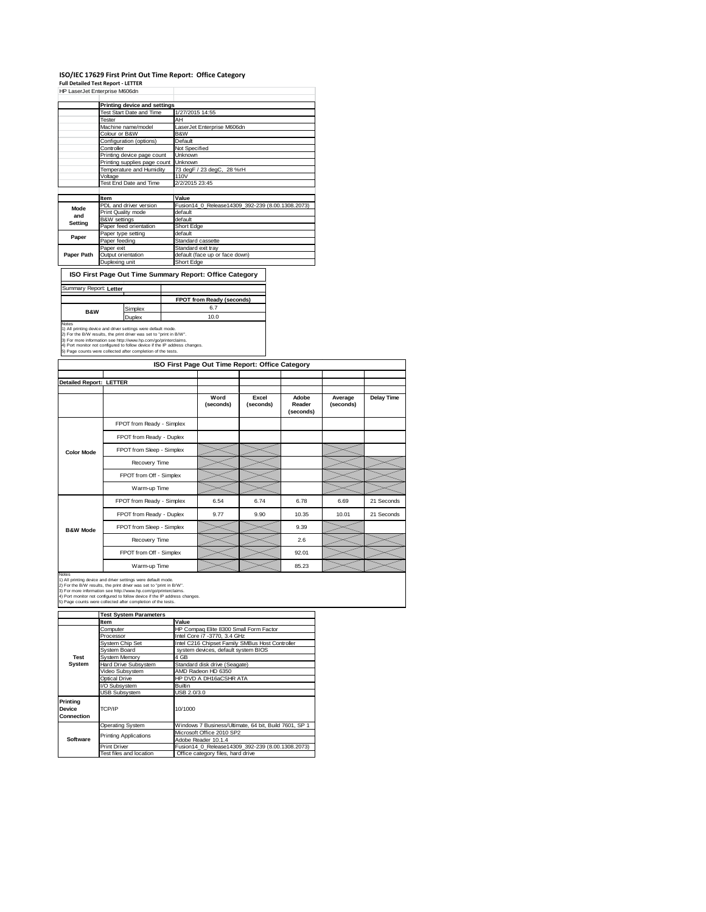## ISO/IEC 17629 First Print Out Time Report: Office Category<br>Full Detailed Test Report - LETTER<br>HP LaserJet Enterprise M606dn

|                              | HP LaserJet Enterprise M606dn |                                                  |  |  |  |
|------------------------------|-------------------------------|--------------------------------------------------|--|--|--|
|                              | Printing device and settings  |                                                  |  |  |  |
|                              | Test Start Date and Time      | 1/27/2015 14:55                                  |  |  |  |
|                              | Tester                        | AH                                               |  |  |  |
|                              | Machine name/model            | LaserJet Enterprise M606dn                       |  |  |  |
|                              | Colour or B&W                 | B&W                                              |  |  |  |
|                              | Configuration (options)       | Default                                          |  |  |  |
|                              | Controller                    | Not Specified                                    |  |  |  |
|                              | Printing device page count    | Unknown                                          |  |  |  |
| Printing supplies page count |                               | <b>Unknown</b>                                   |  |  |  |
|                              | Temperature and Humidity      | 73 degF / 23 degC, 28 %rH                        |  |  |  |
|                              | Voltage                       | 110V                                             |  |  |  |
|                              | Test End Date and Time        | 2/2/2015 23:45                                   |  |  |  |
|                              |                               |                                                  |  |  |  |
|                              | <b>Item</b>                   | Value                                            |  |  |  |
| Mode                         | PDL and driver version        | Fusion14 0 Release14309 392-239 (8.00.1308.2073) |  |  |  |
| and                          | Print Quality mode            | default                                          |  |  |  |
| Setting                      | <b>B&amp;W</b> settings       | default                                          |  |  |  |
|                              | Paper feed orientation        | Short Edge                                       |  |  |  |
| Paper                        | Paper type setting            | default                                          |  |  |  |
|                              | Paper feeding                 | Standard cassette                                |  |  |  |
|                              | Paper exit                    | Standard exit tray                               |  |  |  |
| Paper Path                   | Output orientation            | default (face up or face down)                   |  |  |  |
|                              | Duplexing unit                | Short Edge                                       |  |  |  |

**FPOT from Ready (seconds)**

**ISO First Page Out Time Summary Report: Office Category**

ummary Report: Letter

Simplex 6.7<br>Duplex 10.0 Duplex 10.0 Notes 1) All printing device and driver settings were default mode. 2) For the B/W results, the print driver was set to "print in B/W". 3) For more information see http://www.hp.com/go/printerclaims. 4) Port monitor not configured to follow device if the IP address changes. 5) Page counts were collected after completion of the tests. **B&W**

|                                |                           | ISO First Page Out Time Report: Office Category |                    |                              |                      |            |
|--------------------------------|---------------------------|-------------------------------------------------|--------------------|------------------------------|----------------------|------------|
| <b>Detailed Report: LETTER</b> |                           |                                                 |                    |                              |                      |            |
|                                |                           | Word<br>(seconds)                               | Excel<br>(seconds) | Adobe<br>Reader<br>(seconds) | Average<br>(seconds) | Delay Time |
|                                | FPOT from Ready - Simplex |                                                 |                    |                              |                      |            |
|                                | FPOT from Ready - Duplex  |                                                 |                    |                              |                      |            |
| <b>Color Mode</b>              | FPOT from Sleep - Simplex |                                                 |                    |                              |                      |            |
|                                | Recovery Time             |                                                 |                    |                              |                      |            |
|                                | FPOT from Off - Simplex   |                                                 |                    |                              |                      |            |
|                                | Warm-up Time              |                                                 |                    |                              |                      |            |
|                                | FPOT from Ready - Simplex | 6.54                                            | 6.74               | 6.78                         | 6.69                 | 21 Seconds |
|                                | FPOT from Ready - Duplex  | 9.77                                            | 9.90               | 10.35                        | 10.01                | 21 Seconds |
| <b>B&amp;W Mode</b>            | FPOT from Sleep - Simplex |                                                 |                    | 9.39                         |                      |            |
|                                | Recovery Time             |                                                 |                    | 2.6                          |                      |            |
|                                | FPOT from Off - Simplex   |                                                 |                    | 92.01                        |                      |            |
|                                | Warm-up Time              |                                                 |                    | 85.23                        |                      |            |

Notes<br>1) All printing device and driver settings were default mode.<br>2) For the B/W results, the print driver was set to "print in B/W".<br>3) For more information see http://www.hp.com/go/printerclaims.<br>4) Port monitor not co

**Item Value Test System Parameters**

| ltem                              | Value                                                   |  |  |  |
|-----------------------------------|---------------------------------------------------------|--|--|--|
| Computer                          | HP Compaq Elite 8300 Small Form Factor                  |  |  |  |
| Processor                         | Intel Core i7 -3770, 3.4 GHz                            |  |  |  |
| System Chip Set                   | Intel C216 Chipset Family SMBus Host Controller         |  |  |  |
| System Board                      | system devices, default system BIOS                     |  |  |  |
| System Memory                     | 4 GB                                                    |  |  |  |
| <b>Hard Drive Subsystem</b>       | Standard disk drive (Seagate)                           |  |  |  |
| Video Subsystem                   | AMD Radeon HD 6350                                      |  |  |  |
| Optical Drive                     | HP DVD A DH16aCSHR ATA                                  |  |  |  |
| I/O Subsystem                     | <b>Builtin</b>                                          |  |  |  |
| <b>USB Subsystem</b>              | USB 2.0/3.0                                             |  |  |  |
| TCP/IP                            | 10/1000                                                 |  |  |  |
| <b>Operating System</b>           | Windows 7 Business/Ultimate, 64 bit, Build 7601, SP 1   |  |  |  |
|                                   | Microsoft Office 2010 SP2                               |  |  |  |
|                                   | Adobe Reader 10.1.4                                     |  |  |  |
| <b>Print Driver</b>               | Fusion14 0 Release14309 392-239 (8.00.1308.2073)        |  |  |  |
| Office category files, hard drive |                                                         |  |  |  |
|                                   | <b>Printing Applications</b><br>Test files and location |  |  |  |